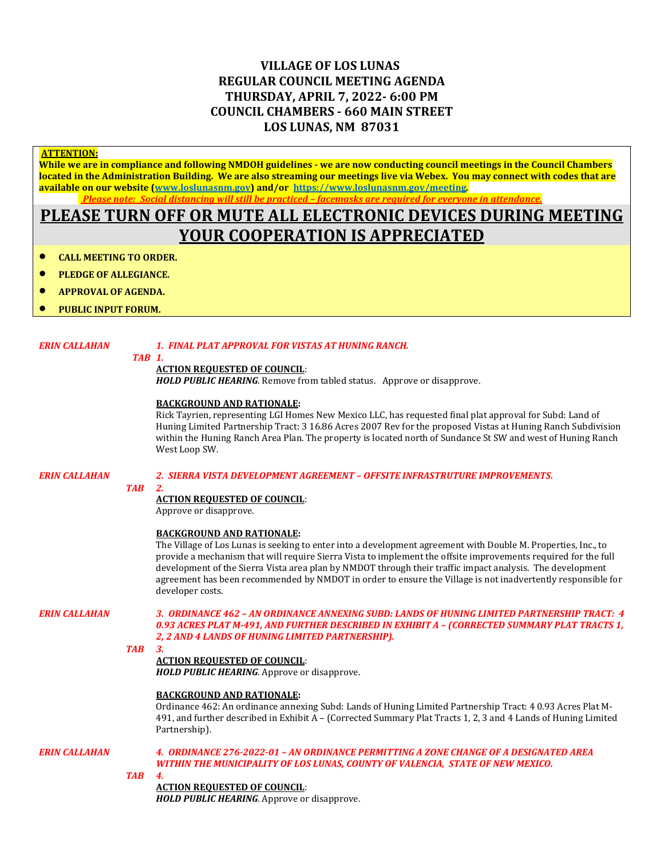# **VILLAGE OF LOS LUNAS REGULAR COUNCIL MEETING AGENDA THURSDAY, APRIL 7, 2022- 6:00 PM COUNCIL CHAMBERS - 660 MAIN STREET LOS LUNAS, NM 87031**

# **ATTENTION:**

**While we are in compliance and following NMDOH guidelines - we are now conducting council meetings in the Council Chambers located in the Administration Building. We are also streaming our meetings live via Webex. You may connect with codes that are available on our website [\(www.loslunasnm.gov\)](http://www.loslunasnm.gov/) and/or<https://www.loslunasnm.gov/meeting>***. Please note: Social distancing will still be practiced – facemasks are required for everyone in attendance.*

# **PLEASE TURN OFF OR MUTE ALL ELECTRONIC DEVICES DURING MEETING YOUR COOPERATION IS APPRECIATED**

- **CALL MEETING TO ORDER.**
- **PLEDGE OF ALLEGIANCE.**
- **APPROVAL OF AGENDA.**
- **PUBLIC INPUT FORUM.**

# *ERIN CALLAHAN 1. FINAL PLAT APPROVAL FOR VISTAS AT HUNING RANCH.*

### *TAB 1.*

# **ACTION REQUESTED OF COUNCIL**:

*HOLD PUBLIC HEARING*. Remove from tabled status. Approve or disapprove.

# **BACKGROUND AND RATIONALE:**

Rick Tayrien, representing LGI Homes New Mexico LLC, has requested final plat approval for Subd: Land of Huning Limited Partnership Tract: 3 16.86 Acres 2007 Rev for the proposed Vistas at Huning Ranch Subdivision within the Huning Ranch Area Plan. The property is located north of Sundance St SW and west of Huning Ranch West Loop SW.

### *ERIN CALLAHAN 2. SIERRA VISTA DEVELOPMENT AGREEMENT – OFFSITE INFRASTRUTURE IMPROVEMENTS.*

# *TAB 2.*

# **ACTION REQUESTED OF COUNCIL**:

Approve or disapprove.

# **BACKGROUND AND RATIONALE:**

The Village of Los Lunas is seeking to enter into a development agreement with Double M. Properties, Inc., to provide a mechanism that will require Sierra Vista to implement the offsite improvements required for the full development of the Sierra Vista area plan by NMDOT through their traffic impact analysis. The development agreement has been recommended by NMDOT in order to ensure the Village is not inadvertently responsible for developer costs.

### *ERIN CALLAHAN 3. ORDINANCE 462 – AN ORDINANCE ANNEXING SUBD: LANDS OF HUNING LIMITED PARTNERSHIP TRACT: 4 0.93 ACRES PLAT M-491, AND FURTHER DESCRIBED IN EXHIBIT A – (CORRECTED SUMMARY PLAT TRACTS 1, 2, 2 AND 4 LANDS OF HUNING LIMITED PARTNERSHIP).*

 *TAB 3.*

# **ACTION REQUESTED OF COUNCIL**:

*HOLD PUBLIC HEARING*. Approve or disapprove.

# **BACKGROUND AND RATIONALE:**

Ordinance 462: An ordinance annexing Subd: Lands of Huning Limited Partnership Tract: 4 0.93 Acres Plat M-491, and further described in Exhibit A – (Corrected Summary Plat Tracts 1, 2, 3 and 4 Lands of Huning Limited Partnership).

# *ERIN CALLAHAN 4. ORDINANCE 276-2022-01 – AN ORDINANCE PERMITTING A ZONE CHANGE OF A DESIGNATED AREA WITHIN THE MUNICIPALITY OF LOS LUNAS, COUNTY OF VALENCIA, STATE OF NEW MEXICO.*

 *TAB 4.*

### **ACTION REQUESTED OF COUNCIL**: *HOLD PUBLIC HEARING*. Approve or disapprove.